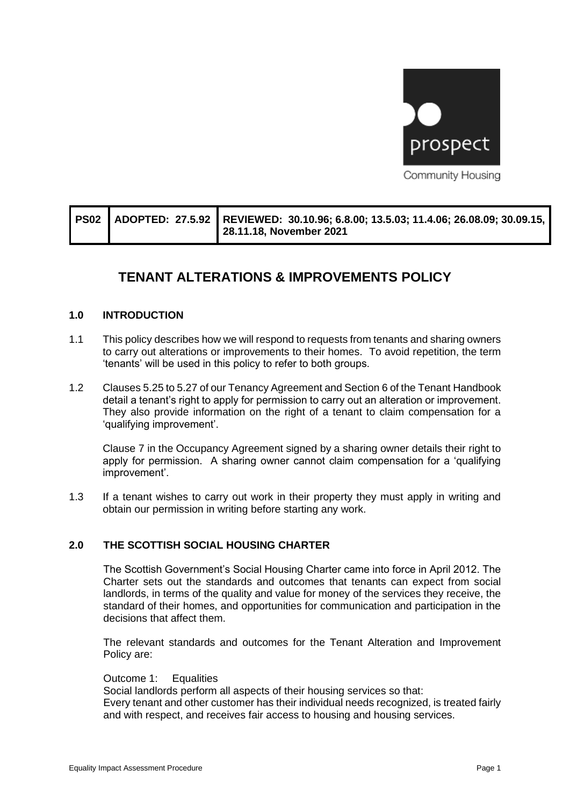

|  | PS02 ADOPTED: 27.5.92 REVIEWED: 30.10.96; 6.8.00; 13.5.03; 11.4.06; 26.08.09; 30.09.15,<br>28.11.18, November 2021 |
|--|--------------------------------------------------------------------------------------------------------------------|
|  |                                                                                                                    |

# **TENANT ALTERATIONS & IMPROVEMENTS POLICY**

#### **1.0 INTRODUCTION**

- 1.1 This policy describes how we will respond to requests from tenants and sharing owners to carry out alterations or improvements to their homes. To avoid repetition, the term 'tenants' will be used in this policy to refer to both groups.
- 1.2 Clauses 5.25 to 5.27 of our Tenancy Agreement and Section 6 of the Tenant Handbook detail a tenant's right to apply for permission to carry out an alteration or improvement. They also provide information on the right of a tenant to claim compensation for a 'qualifying improvement'.

Clause 7 in the Occupancy Agreement signed by a sharing owner details their right to apply for permission. A sharing owner cannot claim compensation for a 'qualifying improvement'.

1.3 If a tenant wishes to carry out work in their property they must apply in writing and obtain our permission in writing before starting any work.

#### **2.0 THE SCOTTISH SOCIAL HOUSING CHARTER**

The Scottish Government's Social Housing Charter came into force in April 2012. The Charter sets out the standards and outcomes that tenants can expect from social landlords, in terms of the quality and value for money of the services they receive, the standard of their homes, and opportunities for communication and participation in the decisions that affect them.

The relevant standards and outcomes for the Tenant Alteration and Improvement Policy are:

Outcome 1: Equalities Social landlords perform all aspects of their housing services so that: Every tenant and other customer has their individual needs recognized, is treated fairly and with respect, and receives fair access to housing and housing services.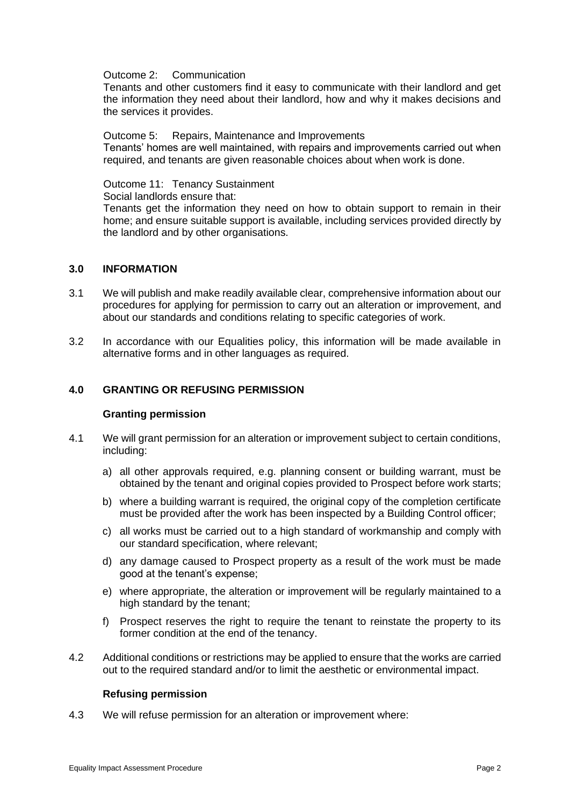#### Outcome 2: Communication

Tenants and other customers find it easy to communicate with their landlord and get the information they need about their landlord, how and why it makes decisions and the services it provides.

#### Outcome 5: Repairs, Maintenance and Improvements

Tenants' homes are well maintained, with repairs and improvements carried out when required, and tenants are given reasonable choices about when work is done.

#### Outcome 11: Tenancy Sustainment

Social landlords ensure that:

Tenants get the information they need on how to obtain support to remain in their home; and ensure suitable support is available, including services provided directly by the landlord and by other organisations.

#### **3.0 INFORMATION**

- 3.1 We will publish and make readily available clear, comprehensive information about our procedures for applying for permission to carry out an alteration or improvement, and about our standards and conditions relating to specific categories of work.
- 3.2 In accordance with our Equalities policy, this information will be made available in alternative forms and in other languages as required.

#### **4.0 GRANTING OR REFUSING PERMISSION**

#### **Granting permission**

- 4.1 We will grant permission for an alteration or improvement subject to certain conditions, including:
	- a) all other approvals required, e.g. planning consent or building warrant, must be obtained by the tenant and original copies provided to Prospect before work starts;
	- b) where a building warrant is required, the original copy of the completion certificate must be provided after the work has been inspected by a Building Control officer;
	- c) all works must be carried out to a high standard of workmanship and comply with our standard specification, where relevant;
	- d) any damage caused to Prospect property as a result of the work must be made good at the tenant's expense;
	- e) where appropriate, the alteration or improvement will be regularly maintained to a high standard by the tenant;
	- f) Prospect reserves the right to require the tenant to reinstate the property to its former condition at the end of the tenancy.
- 4.2 Additional conditions or restrictions may be applied to ensure that the works are carried out to the required standard and/or to limit the aesthetic or environmental impact.

#### **Refusing permission**

4.3 We will refuse permission for an alteration or improvement where: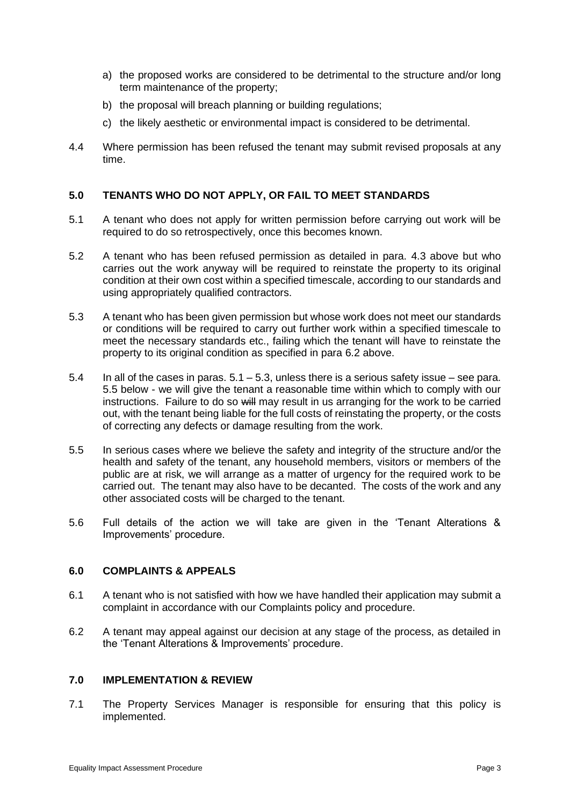- a) the proposed works are considered to be detrimental to the structure and/or long term maintenance of the property;
- b) the proposal will breach planning or building regulations;
- c) the likely aesthetic or environmental impact is considered to be detrimental.
- 4.4 Where permission has been refused the tenant may submit revised proposals at any time.

#### **5.0 TENANTS WHO DO NOT APPLY, OR FAIL TO MEET STANDARDS**

- 5.1 A tenant who does not apply for written permission before carrying out work will be required to do so retrospectively, once this becomes known.
- 5.2 A tenant who has been refused permission as detailed in para. 4.3 above but who carries out the work anyway will be required to reinstate the property to its original condition at their own cost within a specified timescale, according to our standards and using appropriately qualified contractors.
- 5.3 A tenant who has been given permission but whose work does not meet our standards or conditions will be required to carry out further work within a specified timescale to meet the necessary standards etc., failing which the tenant will have to reinstate the property to its original condition as specified in para 6.2 above.
- 5.4 In all of the cases in paras. 5.1 5.3, unless there is a serious safety issue see para. 5.5 below - we will give the tenant a reasonable time within which to comply with our instructions. Failure to do so will may result in us arranging for the work to be carried out, with the tenant being liable for the full costs of reinstating the property, or the costs of correcting any defects or damage resulting from the work.
- 5.5 In serious cases where we believe the safety and integrity of the structure and/or the health and safety of the tenant, any household members, visitors or members of the public are at risk, we will arrange as a matter of urgency for the required work to be carried out. The tenant may also have to be decanted. The costs of the work and any other associated costs will be charged to the tenant.
- 5.6 Full details of the action we will take are given in the 'Tenant Alterations & Improvements' procedure.

#### **6.0 COMPLAINTS & APPEALS**

- 6.1 A tenant who is not satisfied with how we have handled their application may submit a complaint in accordance with our Complaints policy and procedure.
- 6.2 A tenant may appeal against our decision at any stage of the process, as detailed in the 'Tenant Alterations & Improvements' procedure.

#### **7.0 IMPLEMENTATION & REVIEW**

7.1 The Property Services Manager is responsible for ensuring that this policy is implemented.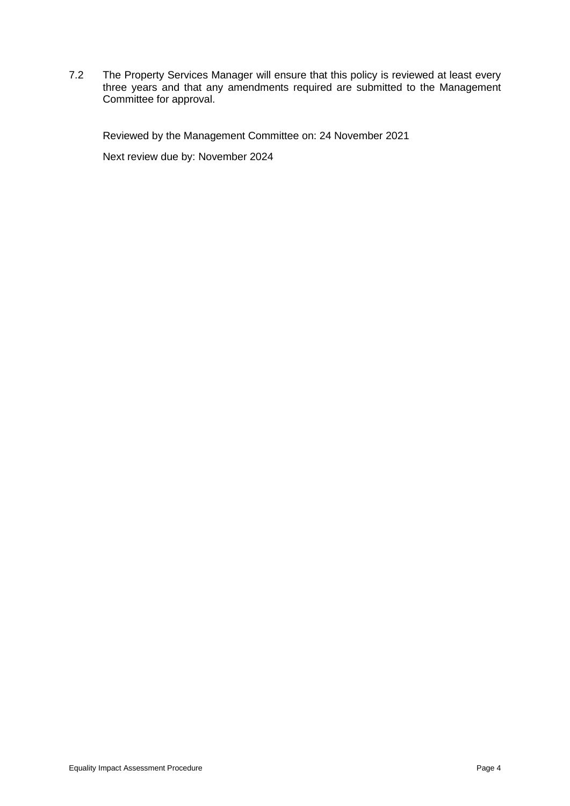7.2 The Property Services Manager will ensure that this policy is reviewed at least every three years and that any amendments required are submitted to the Management Committee for approval.

Reviewed by the Management Committee on: 24 November 2021

Next review due by: November 2024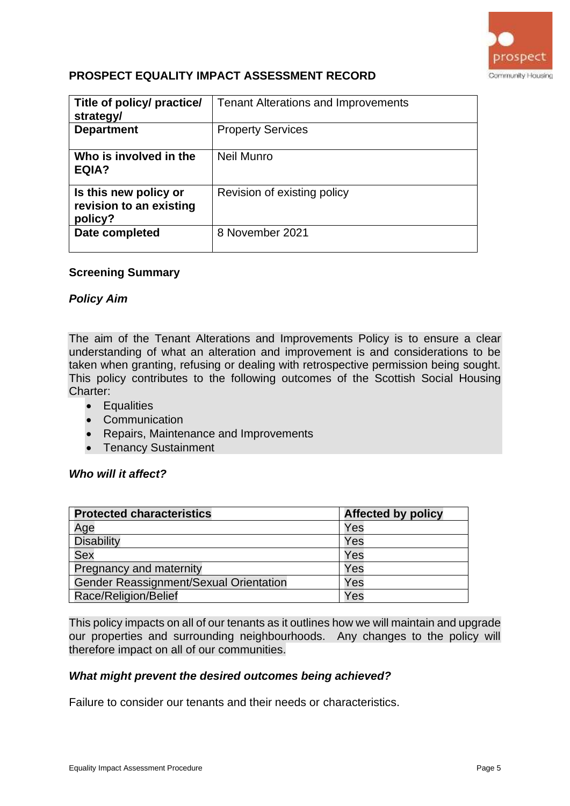

# **PROSPECT EQUALITY IMPACT ASSESSMENT RECORD**

| Title of policy/ practice/<br>strategy/                     | <b>Tenant Alterations and Improvements</b> |
|-------------------------------------------------------------|--------------------------------------------|
| <b>Department</b>                                           | <b>Property Services</b>                   |
| Who is involved in the<br>EQIA?                             | Neil Munro                                 |
| Is this new policy or<br>revision to an existing<br>policy? | Revision of existing policy                |
| Date completed                                              | 8 November 2021                            |

#### **Screening Summary**

### *Policy Aim*

The aim of the Tenant Alterations and Improvements Policy is to ensure a clear understanding of what an alteration and improvement is and considerations to be taken when granting, refusing or dealing with retrospective permission being sought. This policy contributes to the following outcomes of the Scottish Social Housing Charter:

- Equalities
- Communication
- Repairs, Maintenance and Improvements
- Tenancy Sustainment

### *Who will it affect?*

| <b>Protected characteristics</b>       | <b>Affected by policy</b> |
|----------------------------------------|---------------------------|
| Age                                    | Yes                       |
| <b>Disability</b>                      | Yes                       |
| <b>Sex</b>                             | Yes                       |
| Pregnancy and maternity                | Yes                       |
| Gender Reassignment/Sexual Orientation | Yes                       |
| Race/Religion/Belief                   | Yes                       |

This policy impacts on all of our tenants as it outlines how we will maintain and upgrade our properties and surrounding neighbourhoods. Any changes to the policy will therefore impact on all of our communities.

#### *What might prevent the desired outcomes being achieved?*

Failure to consider our tenants and their needs or characteristics.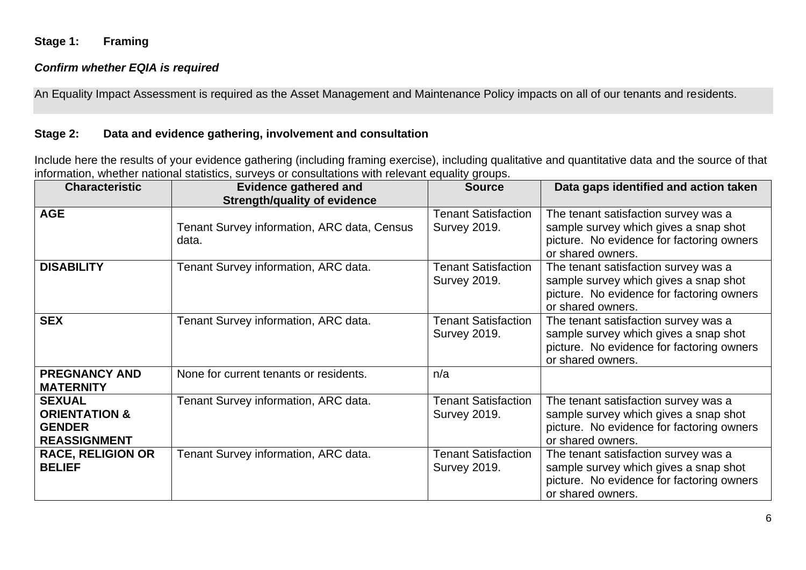## **Stage 1: Framing**

## *Confirm whether EQIA is required*

An Equality Impact Assessment is required as the Asset Management and Maintenance Policy impacts on all of our tenants and residents.

## **Stage 2: Data and evidence gathering, involvement and consultation**

Include here the results of your evidence gathering (including framing exercise), including qualitative and quantitative data and the source of that information, whether national statistics, surveys or consultations with relevant equality groups.

| <b>Characteristic</b>                                                             | <b>Evidence gathered and</b><br><b>Strength/quality of evidence</b> | <b>Source</b>                                     | Data gaps identified and action taken                                                                                                           |
|-----------------------------------------------------------------------------------|---------------------------------------------------------------------|---------------------------------------------------|-------------------------------------------------------------------------------------------------------------------------------------------------|
| <b>AGE</b>                                                                        | <b>Tenant Survey information, ARC data, Census</b><br>data.         | <b>Tenant Satisfaction</b><br><b>Survey 2019.</b> | The tenant satisfaction survey was a<br>sample survey which gives a snap shot<br>picture. No evidence for factoring owners<br>or shared owners. |
| <b>DISABILITY</b>                                                                 | Tenant Survey information, ARC data.                                | <b>Tenant Satisfaction</b><br><b>Survey 2019.</b> | The tenant satisfaction survey was a<br>sample survey which gives a snap shot<br>picture. No evidence for factoring owners<br>or shared owners. |
| <b>SEX</b>                                                                        | Tenant Survey information, ARC data.                                | <b>Tenant Satisfaction</b><br><b>Survey 2019.</b> | The tenant satisfaction survey was a<br>sample survey which gives a snap shot<br>picture. No evidence for factoring owners<br>or shared owners. |
| <b>PREGNANCY AND</b><br><b>MATERNITY</b>                                          | None for current tenants or residents.                              | n/a                                               |                                                                                                                                                 |
| <b>SEXUAL</b><br><b>ORIENTATION &amp;</b><br><b>GENDER</b><br><b>REASSIGNMENT</b> | Tenant Survey information, ARC data.                                | <b>Tenant Satisfaction</b><br><b>Survey 2019.</b> | The tenant satisfaction survey was a<br>sample survey which gives a snap shot<br>picture. No evidence for factoring owners<br>or shared owners. |
| <b>RACE, RELIGION OR</b><br><b>BELIEF</b>                                         | Tenant Survey information, ARC data.                                | <b>Tenant Satisfaction</b><br><b>Survey 2019.</b> | The tenant satisfaction survey was a<br>sample survey which gives a snap shot<br>picture. No evidence for factoring owners<br>or shared owners. |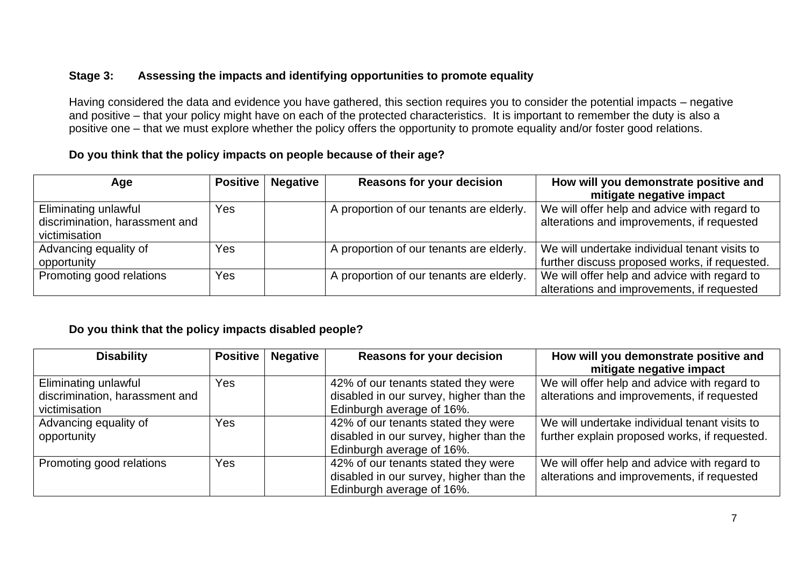# **Stage 3: Assessing the impacts and identifying opportunities to promote equality**

Having considered the data and evidence you have gathered, this section requires you to consider the potential impacts – negative and positive – that your policy might have on each of the protected characteristics. It is important to remember the duty is also a positive one – that we must explore whether the policy offers the opportunity to promote equality and/or foster good relations.

# **Do you think that the policy impacts on people because of their age?**

| Age                            | <b>Positive</b> | <b>Negative</b> | <b>Reasons for your decision</b>         | How will you demonstrate positive and         |
|--------------------------------|-----------------|-----------------|------------------------------------------|-----------------------------------------------|
|                                |                 |                 |                                          | mitigate negative impact                      |
| Eliminating unlawful           | Yes             |                 | A proportion of our tenants are elderly. | We will offer help and advice with regard to  |
| discrimination, harassment and |                 |                 |                                          | alterations and improvements, if requested    |
| victimisation                  |                 |                 |                                          |                                               |
| Advancing equality of          | Yes             |                 | A proportion of our tenants are elderly. | We will undertake individual tenant visits to |
| opportunity                    |                 |                 |                                          | further discuss proposed works, if requested. |
| Promoting good relations       | Yes             |                 | A proportion of our tenants are elderly. | We will offer help and advice with regard to  |
|                                |                 |                 |                                          | alterations and improvements, if requested    |

## **Do you think that the policy impacts disabled people?**

| <b>Disability</b>                                                       | <b>Positive</b> | <b>Negative</b> | <b>Reasons for your decision</b>                                                                            | How will you demonstrate positive and<br>mitigate negative impact                              |
|-------------------------------------------------------------------------|-----------------|-----------------|-------------------------------------------------------------------------------------------------------------|------------------------------------------------------------------------------------------------|
| Eliminating unlawful<br>discrimination, harassment and<br>victimisation | Yes             |                 | 42% of our tenants stated they were<br>disabled in our survey, higher than the<br>Edinburgh average of 16%. | We will offer help and advice with regard to<br>alterations and improvements, if requested     |
| Advancing equality of<br>opportunity                                    | Yes             |                 | 42% of our tenants stated they were<br>disabled in our survey, higher than the<br>Edinburgh average of 16%. | We will undertake individual tenant visits to<br>further explain proposed works, if requested. |
| Promoting good relations                                                | Yes             |                 | 42% of our tenants stated they were<br>disabled in our survey, higher than the<br>Edinburgh average of 16%. | We will offer help and advice with regard to<br>alterations and improvements, if requested     |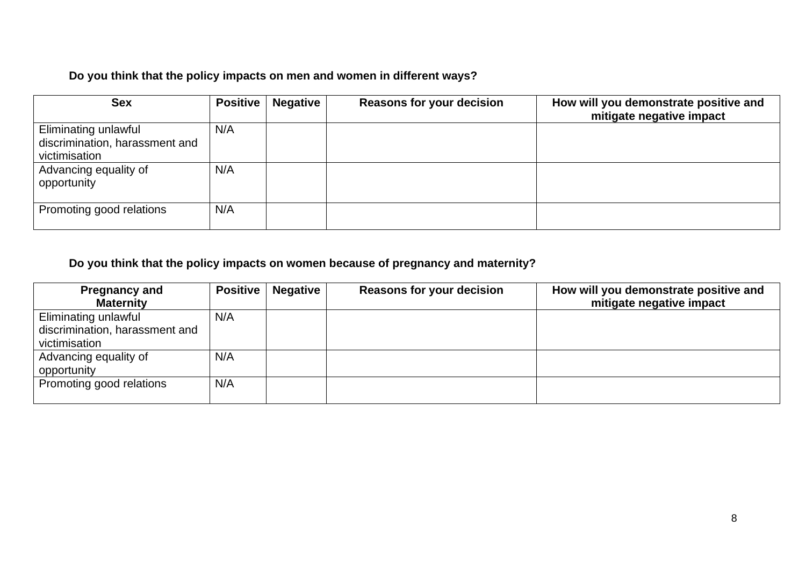# **Do you think that the policy impacts on men and women in different ways?**

| <b>Sex</b>                                                              |     | Positive   Negative | <b>Reasons for your decision</b> | How will you demonstrate positive and<br>mitigate negative impact |
|-------------------------------------------------------------------------|-----|---------------------|----------------------------------|-------------------------------------------------------------------|
| Eliminating unlawful<br>discrimination, harassment and<br>victimisation | N/A |                     |                                  |                                                                   |
| Advancing equality of<br>opportunity                                    | N/A |                     |                                  |                                                                   |
| Promoting good relations                                                | N/A |                     |                                  |                                                                   |

# **Do you think that the policy impacts on women because of pregnancy and maternity?**

| <b>Pregnancy and</b>           |     | Positive   Negative | <b>Reasons for your decision</b> | How will you demonstrate positive and |
|--------------------------------|-----|---------------------|----------------------------------|---------------------------------------|
| <b>Maternity</b>               |     |                     |                                  | mitigate negative impact              |
| Eliminating unlawful           | N/A |                     |                                  |                                       |
| discrimination, harassment and |     |                     |                                  |                                       |
| victimisation                  |     |                     |                                  |                                       |
| Advancing equality of          | N/A |                     |                                  |                                       |
| opportunity                    |     |                     |                                  |                                       |
| Promoting good relations       | N/A |                     |                                  |                                       |
|                                |     |                     |                                  |                                       |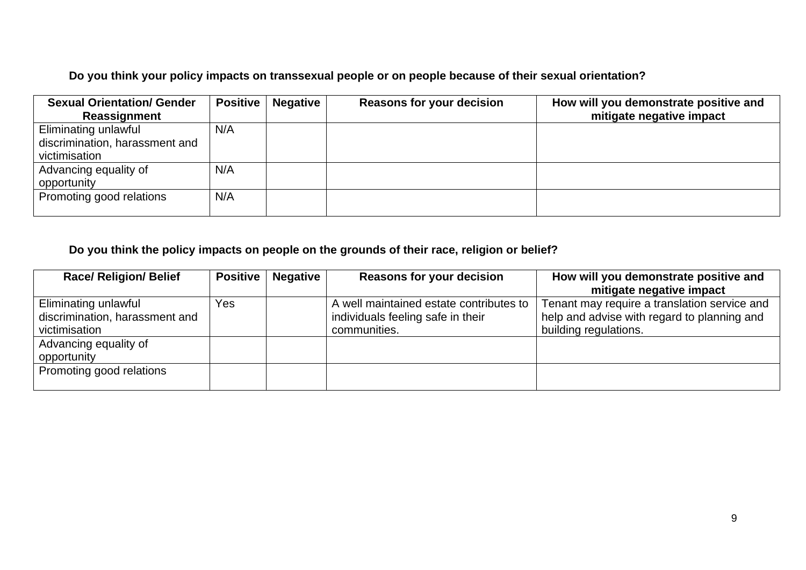**Do you think your policy impacts on transsexual people or on people because of their sexual orientation?**

| <b>Sexual Orientation/ Gender</b> | Positive | <b>Negative</b> | <b>Reasons for your decision</b> | How will you demonstrate positive and |
|-----------------------------------|----------|-----------------|----------------------------------|---------------------------------------|
| Reassignment                      |          |                 |                                  | mitigate negative impact              |
| Eliminating unlawful              | N/A      |                 |                                  |                                       |
| discrimination, harassment and    |          |                 |                                  |                                       |
| victimisation                     |          |                 |                                  |                                       |
| Advancing equality of             | N/A      |                 |                                  |                                       |
| opportunity                       |          |                 |                                  |                                       |
| Promoting good relations          | N/A      |                 |                                  |                                       |
|                                   |          |                 |                                  |                                       |

# **Do you think the policy impacts on people on the grounds of their race, religion or belief?**

| <b>Race/ Religion/ Belief</b>  |     | <b>Positive   Negative</b> | <b>Reasons for your decision</b>        | How will you demonstrate positive and        |
|--------------------------------|-----|----------------------------|-----------------------------------------|----------------------------------------------|
|                                |     |                            |                                         | mitigate negative impact                     |
| Eliminating unlawful           | Yes |                            | A well maintained estate contributes to | Tenant may require a translation service and |
| discrimination, harassment and |     |                            | individuals feeling safe in their       | help and advise with regard to planning and  |
| victimisation                  |     |                            | communities.                            | building regulations.                        |
| Advancing equality of          |     |                            |                                         |                                              |
| opportunity                    |     |                            |                                         |                                              |
| Promoting good relations       |     |                            |                                         |                                              |
|                                |     |                            |                                         |                                              |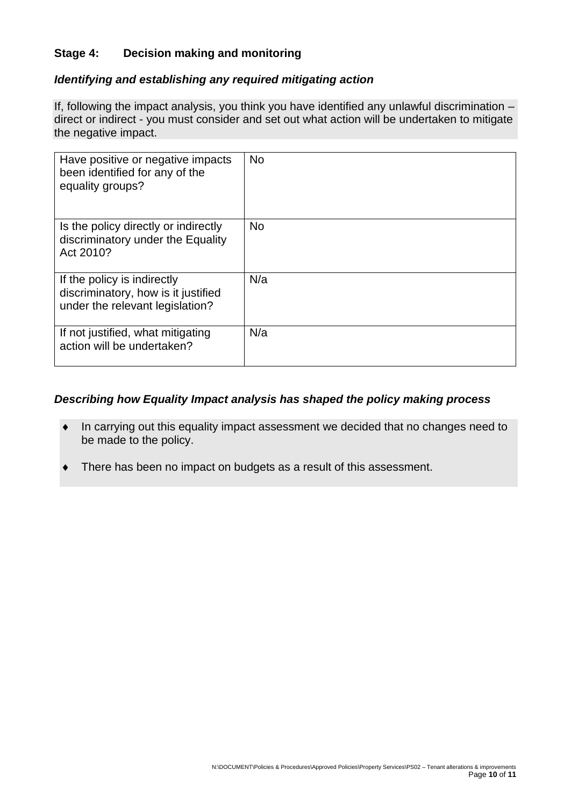# **Stage 4: Decision making and monitoring**

## *Identifying and establishing any required mitigating action*

If, following the impact analysis, you think you have identified any unlawful discrimination – direct or indirect - you must consider and set out what action will be undertaken to mitigate the negative impact.

| Have positive or negative impacts<br>been identified for any of the<br>equality groups?               | <b>No</b> |
|-------------------------------------------------------------------------------------------------------|-----------|
| Is the policy directly or indirectly<br>discriminatory under the Equality<br>Act 2010?                | <b>No</b> |
| If the policy is indirectly<br>discriminatory, how is it justified<br>under the relevant legislation? | N/a       |
| If not justified, what mitigating<br>action will be undertaken?                                       | N/a       |

## *Describing how Equality Impact analysis has shaped the policy making process*

- In carrying out this equality impact assessment we decided that no changes need to be made to the policy.
- There has been no impact on budgets as a result of this assessment.